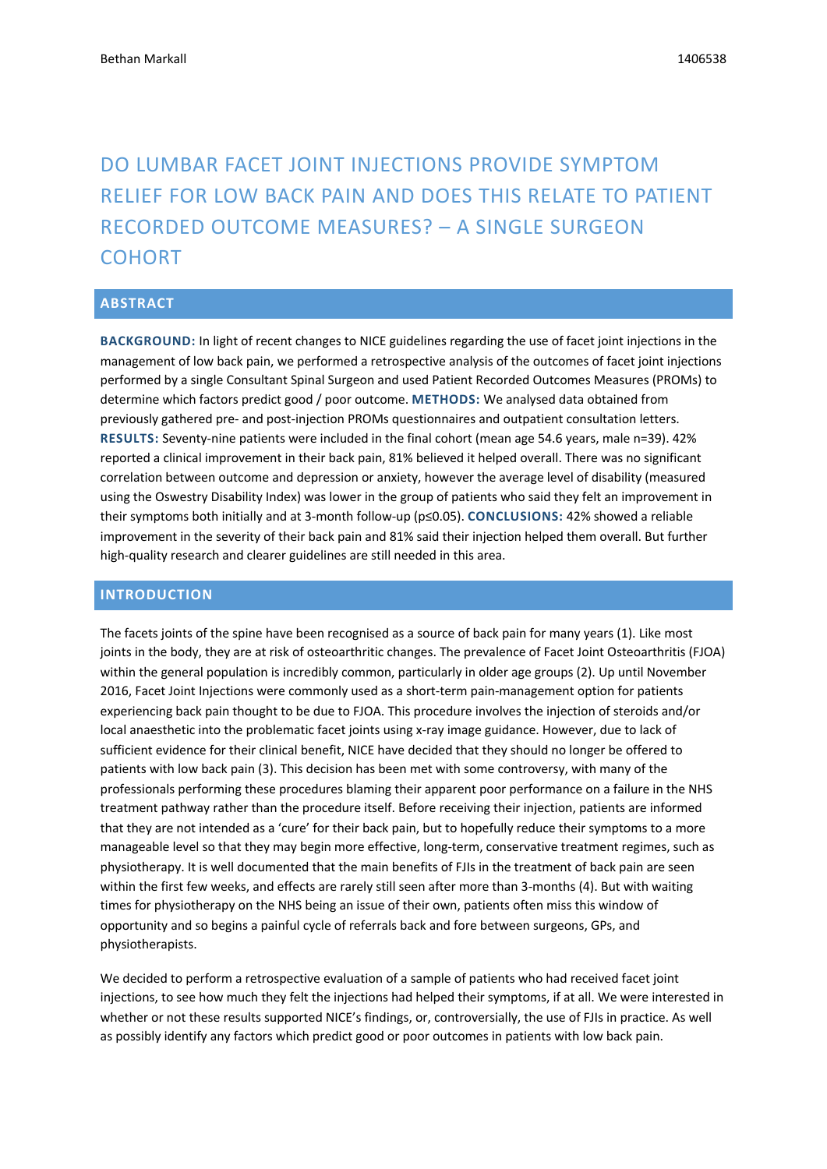# DO LUMBAR FACET JOINT INJECTIONS PROVIDE SYMPTOM RELIEF FOR LOW BACK PAIN AND DOES THIS RELATE TO PATIENT RECORDED OUTCOME MEASURES? – A SINGLE SURGEON COHORT

#### **ABSTRACT**

**BACKGROUND:** In light of recent changes to NICE guidelines regarding the use of facet joint injections in the management of low back pain, we performed a retrospective analysis of the outcomes of facet joint injections performed by a single Consultant Spinal Surgeon and used Patient Recorded Outcomes Measures (PROMs) to determine which factors predict good / poor outcome. **METHODS:** We analysed data obtained from previously gathered pre- and post-injection PROMs questionnaires and outpatient consultation letters. **RESULTS:** Seventy-nine patients were included in the final cohort (mean age 54.6 years, male n=39). 42% reported a clinical improvement in their back pain, 81% believed it helped overall. There was no significant correlation between outcome and depression or anxiety, however the average level of disability (measured using the Oswestry Disability Index) was lower in the group of patients who said they felt an improvement in their symptoms both initially and at 3-month follow-up (p≤0.05). **CONCLUSIONS:** 42% showed a reliable improvement in the severity of their back pain and 81% said their injection helped them overall. But further high-quality research and clearer guidelines are still needed in this area.

#### **INTRODUCTION**

The facets joints of the spine have been recognised as a source of back pain for many years (1). Like most joints in the body, they are at risk of osteoarthritic changes. The prevalence of Facet Joint Osteoarthritis (FJOA) within the general population is incredibly common, particularly in older age groups (2). Up until November 2016, Facet Joint Injections were commonly used as a short-term pain-management option for patients experiencing back pain thought to be due to FJOA. This procedure involves the injection of steroids and/or local anaesthetic into the problematic facet joints using x-ray image guidance. However, due to lack of sufficient evidence for their clinical benefit, NICE have decided that they should no longer be offered to patients with low back pain (3). This decision has been met with some controversy, with many of the professionals performing these procedures blaming their apparent poor performance on a failure in the NHS treatment pathway rather than the procedure itself. Before receiving their injection, patients are informed that they are not intended as a 'cure' for their back pain, but to hopefully reduce their symptoms to a more manageable level so that they may begin more effective, long-term, conservative treatment regimes, such as physiotherapy. It is well documented that the main benefits of FJIs in the treatment of back pain are seen within the first few weeks, and effects are rarely still seen after more than 3-months (4). But with waiting times for physiotherapy on the NHS being an issue of their own, patients often miss this window of opportunity and so begins a painful cycle of referrals back and fore between surgeons, GPs, and physiotherapists.

We decided to perform a retrospective evaluation of a sample of patients who had received facet joint injections, to see how much they felt the injections had helped their symptoms, if at all. We were interested in whether or not these results supported NICE's findings, or, controversially, the use of FJIs in practice. As well as possibly identify any factors which predict good or poor outcomes in patients with low back pain.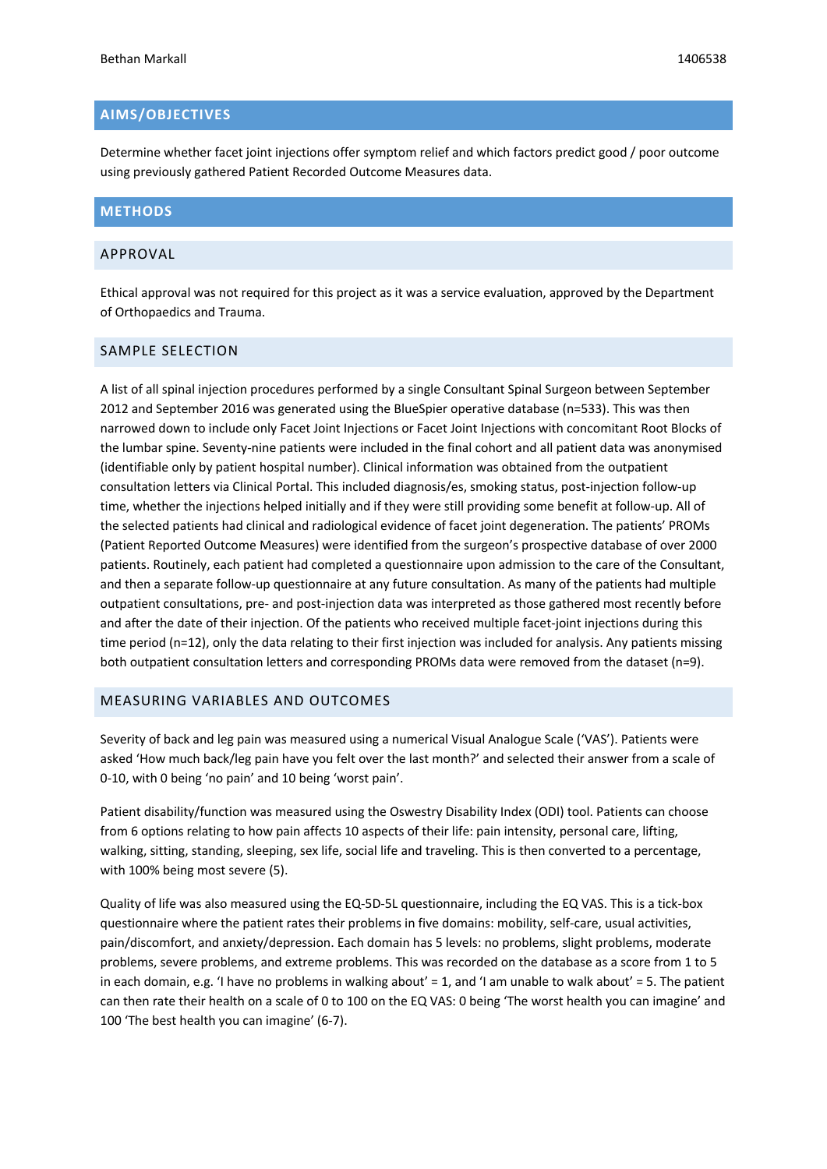# **AIMS/OBJECTIVES**

Determine whether facet joint injections offer symptom relief and which factors predict good / poor outcome using previously gathered Patient Recorded Outcome Measures data.

# **METHODS**

#### APPROVAL

Ethical approval was not required for this project as it was a service evaluation, approved by the Department of Orthopaedics and Trauma.

#### SAMPLE SELECTION

A list of all spinal injection procedures performed by a single Consultant Spinal Surgeon between September 2012 and September 2016 was generated using the BlueSpier operative database (n=533). This was then narrowed down to include only Facet Joint Injections or Facet Joint Injections with concomitant Root Blocks of the lumbar spine. Seventy-nine patients were included in the final cohort and all patient data was anonymised (identifiable only by patient hospital number). Clinical information was obtained from the outpatient consultation letters via Clinical Portal. This included diagnosis/es, smoking status, post-injection follow-up time, whether the injections helped initially and if they were still providing some benefit at follow-up. All of the selected patients had clinical and radiological evidence of facet joint degeneration. The patients' PROMs (Patient Reported Outcome Measures) were identified from the surgeon's prospective database of over 2000 patients. Routinely, each patient had completed a questionnaire upon admission to the care of the Consultant, and then a separate follow-up questionnaire at any future consultation. As many of the patients had multiple outpatient consultations, pre- and post-injection data was interpreted as those gathered most recently before and after the date of their injection. Of the patients who received multiple facet-joint injections during this time period (n=12), only the data relating to their first injection was included for analysis. Any patients missing both outpatient consultation letters and corresponding PROMs data were removed from the dataset (n=9).

#### MEASURING VARIABLES AND OUTCOMES

Severity of back and leg pain was measured using a numerical Visual Analogue Scale ('VAS'). Patients were asked 'How much back/leg pain have you felt over the last month?' and selected their answer from a scale of 0-10, with 0 being 'no pain' and 10 being 'worst pain'.

Patient disability/function was measured using the Oswestry Disability Index (ODI) tool. Patients can choose from 6 options relating to how pain affects 10 aspects of their life: pain intensity, personal care, lifting, walking, sitting, standing, sleeping, sex life, social life and traveling. This is then converted to a percentage, with 100% being most severe (5).

Quality of life was also measured using the EQ-5D-5L questionnaire, including the EQ VAS. This is a tick-box questionnaire where the patient rates their problems in five domains: mobility, self-care, usual activities, pain/discomfort, and anxiety/depression. Each domain has 5 levels: no problems, slight problems, moderate problems, severe problems, and extreme problems. This was recorded on the database as a score from 1 to 5 in each domain, e.g. 'I have no problems in walking about' = 1, and 'I am unable to walk about' = 5. The patient can then rate their health on a scale of 0 to 100 on the EQ VAS: 0 being 'The worst health you can imagine' and 100 'The best health you can imagine' (6-7).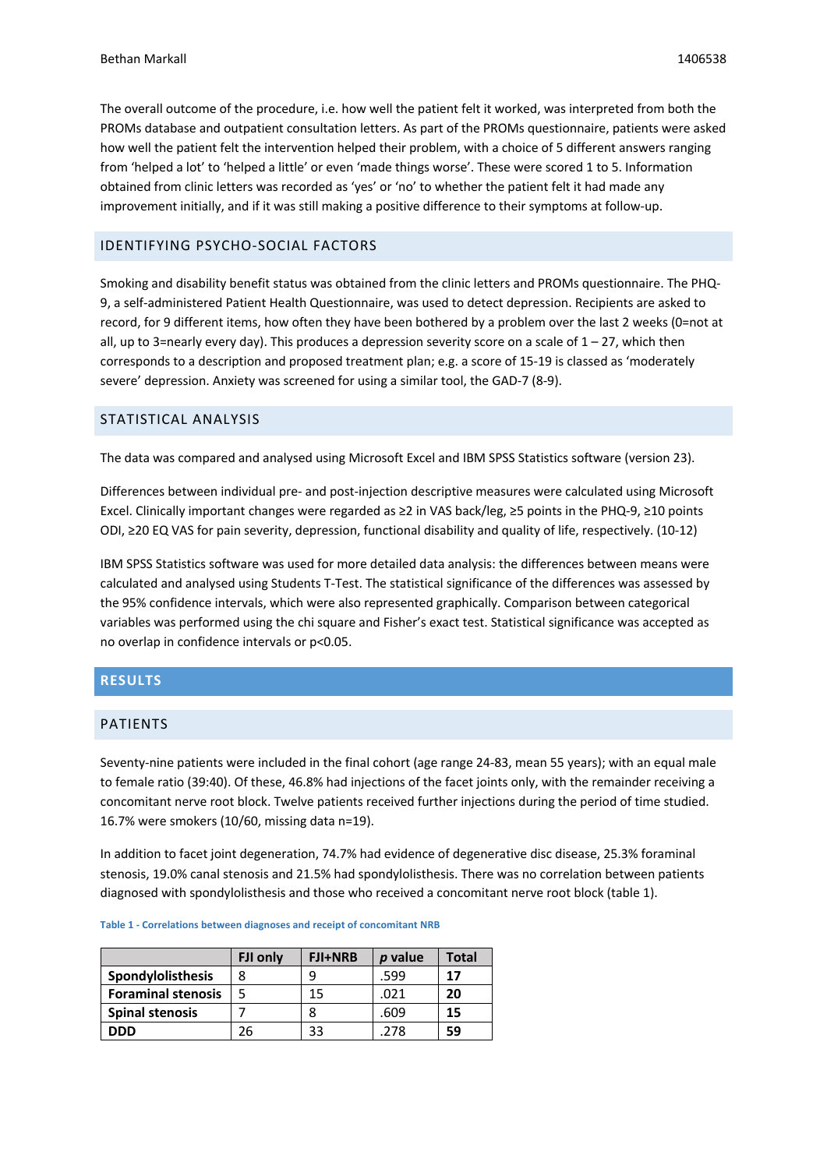The overall outcome of the procedure, i.e. how well the patient felt it worked, was interpreted from both the PROMs database and outpatient consultation letters. As part of the PROMs questionnaire, patients were asked how well the patient felt the intervention helped their problem, with a choice of 5 different answers ranging from 'helped a lot' to 'helped a little' or even 'made things worse'. These were scored 1 to 5. Information obtained from clinic letters was recorded as 'yes' or 'no' to whether the patient felt it had made any improvement initially, and if it was still making a positive difference to their symptoms at follow-up.

### IDENTIFYING PSYCHO-SOCIAL FACTORS

Smoking and disability benefit status was obtained from the clinic letters and PROMs questionnaire. The PHQ-9, a self-administered Patient Health Questionnaire, was used to detect depression. Recipients are asked to record, for 9 different items, how often they have been bothered by a problem over the last 2 weeks (0=not at all, up to 3=nearly every day). This produces a depression severity score on a scale of  $1 - 27$ , which then corresponds to a description and proposed treatment plan; e.g. a score of 15-19 is classed as 'moderately severe' depression. Anxiety was screened for using a similar tool, the GAD-7 (8-9).

## STATISTICAL ANALYSIS

The data was compared and analysed using Microsoft Excel and IBM SPSS Statistics software (version 23).

Differences between individual pre- and post-injection descriptive measures were calculated using Microsoft Excel. Clinically important changes were regarded as ≥2 in VAS back/leg, ≥5 points in the PHQ-9, ≥10 points ODI, ≥20 EQ VAS for pain severity, depression, functional disability and quality of life, respectively. (10-12)

IBM SPSS Statistics software was used for more detailed data analysis: the differences between means were calculated and analysed using Students T-Test. The statistical significance of the differences was assessed by the 95% confidence intervals, which were also represented graphically. Comparison between categorical variables was performed using the chi square and Fisher's exact test. Statistical significance was accepted as no overlap in confidence intervals or p<0.05.

#### **RESULTS**

#### PATIENTS

Seventy-nine patients were included in the final cohort (age range 24-83, mean 55 years); with an equal male to female ratio (39:40). Of these, 46.8% had injections of the facet joints only, with the remainder receiving a concomitant nerve root block. Twelve patients received further injections during the period of time studied. 16.7% were smokers (10/60, missing data n=19).

In addition to facet joint degeneration, 74.7% had evidence of degenerative disc disease, 25.3% foraminal stenosis, 19.0% canal stenosis and 21.5% had spondylolisthesis. There was no correlation between patients diagnosed with spondylolisthesis and those who received a concomitant nerve root block (table 1).

|                           | FJI only | <b>FJI+NRB</b> | p value | Total |
|---------------------------|----------|----------------|---------|-------|
| Spondylolisthesis         | 8        | q              | .599    | 17    |
| <b>Foraminal stenosis</b> |          | 15             | .021    | 20    |
| <b>Spinal stenosis</b>    |          | 8              | .609    | 15    |
| חחח                       | 26       | 33             | .278    | 59    |

**Table 1 - Correlations between diagnoses and receipt of concomitant NRB**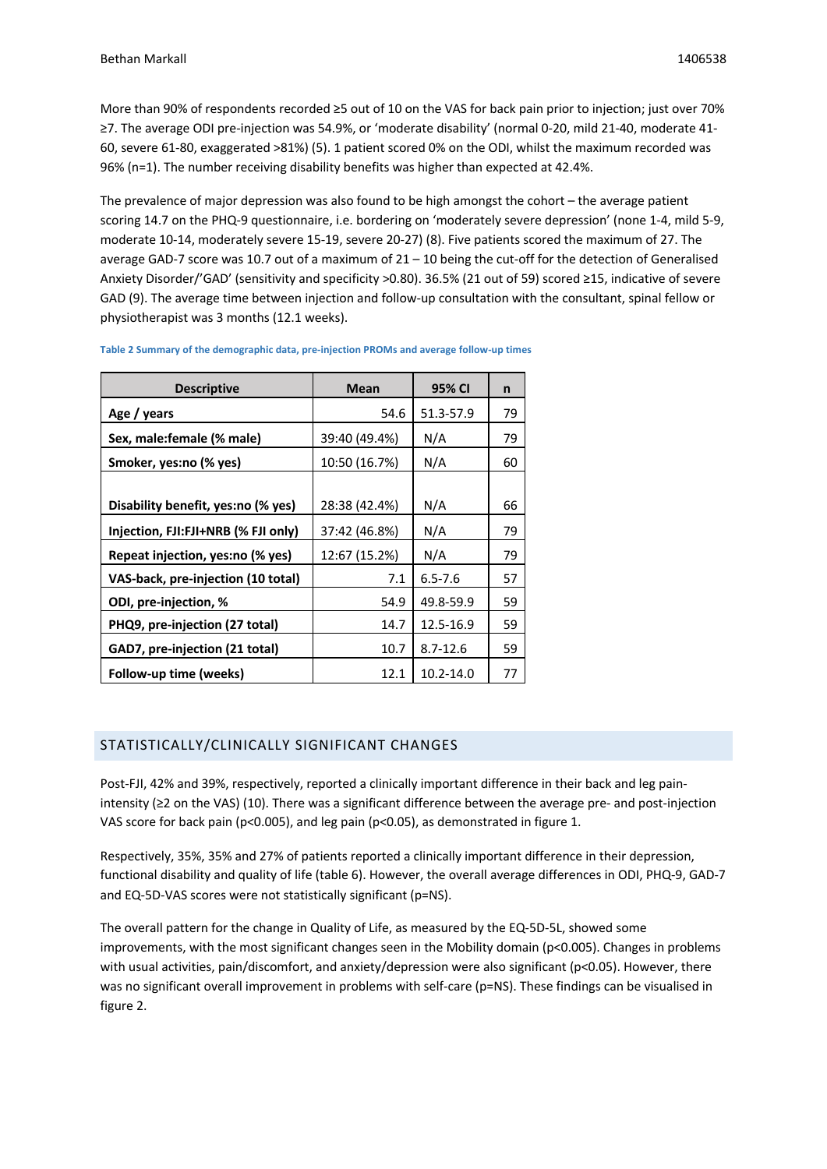More than 90% of respondents recorded ≥5 out of 10 on the VAS for back pain prior to injection; just over 70% ≥7. The average ODI pre-injection was 54.9%, or 'moderate disability' (normal 0-20, mild 21-40, moderate 41- 60, severe 61-80, exaggerated >81%) (5). 1 patient scored 0% on the ODI, whilst the maximum recorded was 96% (n=1). The number receiving disability benefits was higher than expected at 42.4%.

The prevalence of major depression was also found to be high amongst the cohort – the average patient scoring 14.7 on the PHQ-9 questionnaire, i.e. bordering on 'moderately severe depression' (none 1-4, mild 5-9, moderate 10-14, moderately severe 15-19, severe 20-27) (8). Five patients scored the maximum of 27. The average GAD-7 score was 10.7 out of a maximum of 21 – 10 being the cut-off for the detection of Generalised Anxiety Disorder/'GAD' (sensitivity and specificity >0.80). 36.5% (21 out of 59) scored ≥15, indicative of severe GAD (9). The average time between injection and follow-up consultation with the consultant, spinal fellow or physiotherapist was 3 months (12.1 weeks).

| <b>Descriptive</b>                  | Mean          | 95% CI       | n  |
|-------------------------------------|---------------|--------------|----|
| Age / years                         | 54.6          | 51.3-57.9    | 79 |
| Sex, male: female (% male)          | 39:40 (49.4%) | N/A          | 79 |
| Smoker, yes:no (% yes)              | 10:50 (16.7%) | N/A          | 60 |
| Disability benefit, yes:no (% yes)  | 28:38 (42.4%) | N/A          | 66 |
| Injection, FJI:FJI+NRB (% FJI only) | 37:42 (46.8%) | N/A          | 79 |
| Repeat injection, yes:no (% yes)    | 12:67 (15.2%) | N/A          | 79 |
| VAS-back, pre-injection (10 total)  | 7.1           | $6.5 - 7.6$  | 57 |
| ODI, pre-injection, %               | 54.9          | 49.8-59.9    | 59 |
| PHQ9, pre-injection (27 total)      | 14.7          | 12.5-16.9    | 59 |
| GAD7, pre-injection (21 total)      | 10.7          | $8.7 - 12.6$ | 59 |
| Follow-up time (weeks)              | 12.1          | 10.2-14.0    | 77 |

**Table 2 Summary of the demographic data, pre-injection PROMs and average follow-up times**

# STATISTICALLY/CLINICALLY SIGNIFICANT CHANGES

Post-FJI, 42% and 39%, respectively, reported a clinically important difference in their back and leg painintensity (≥2 on the VAS) (10). There was a significant difference between the average pre- and post-injection VAS score for back pain (p<0.005), and leg pain (p<0.05), as demonstrated in figure 1.

Respectively, 35%, 35% and 27% of patients reported a clinically important difference in their depression, functional disability and quality of life (table 6). However, the overall average differences in ODI, PHQ-9, GAD-7 and EQ-5D-VAS scores were not statistically significant (p=NS).

The overall pattern for the change in Quality of Life, as measured by the EQ-5D-5L, showed some improvements, with the most significant changes seen in the Mobility domain (p<0.005). Changes in problems with usual activities, pain/discomfort, and anxiety/depression were also significant (p<0.05). However, there was no significant overall improvement in problems with self-care (p=NS). These findings can be visualised in figure 2.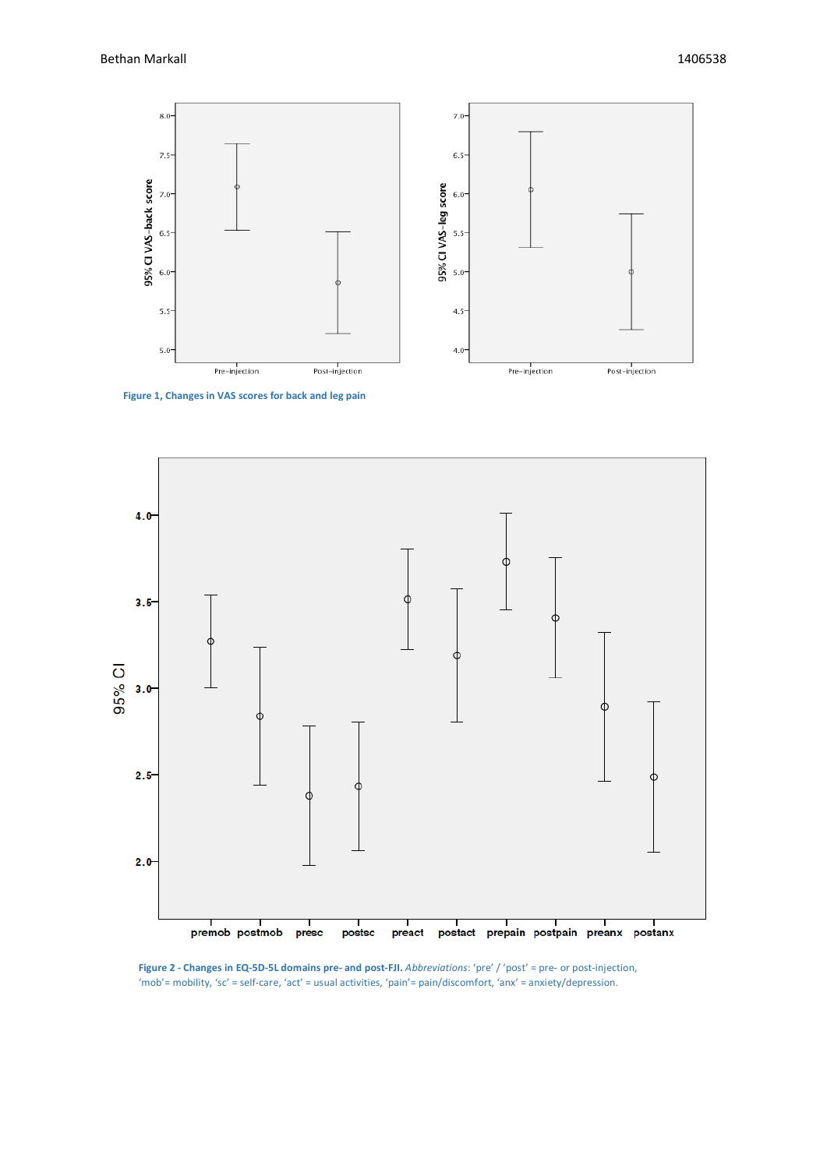

**Figure 1, Changes in VAS scores for back and leg pain**



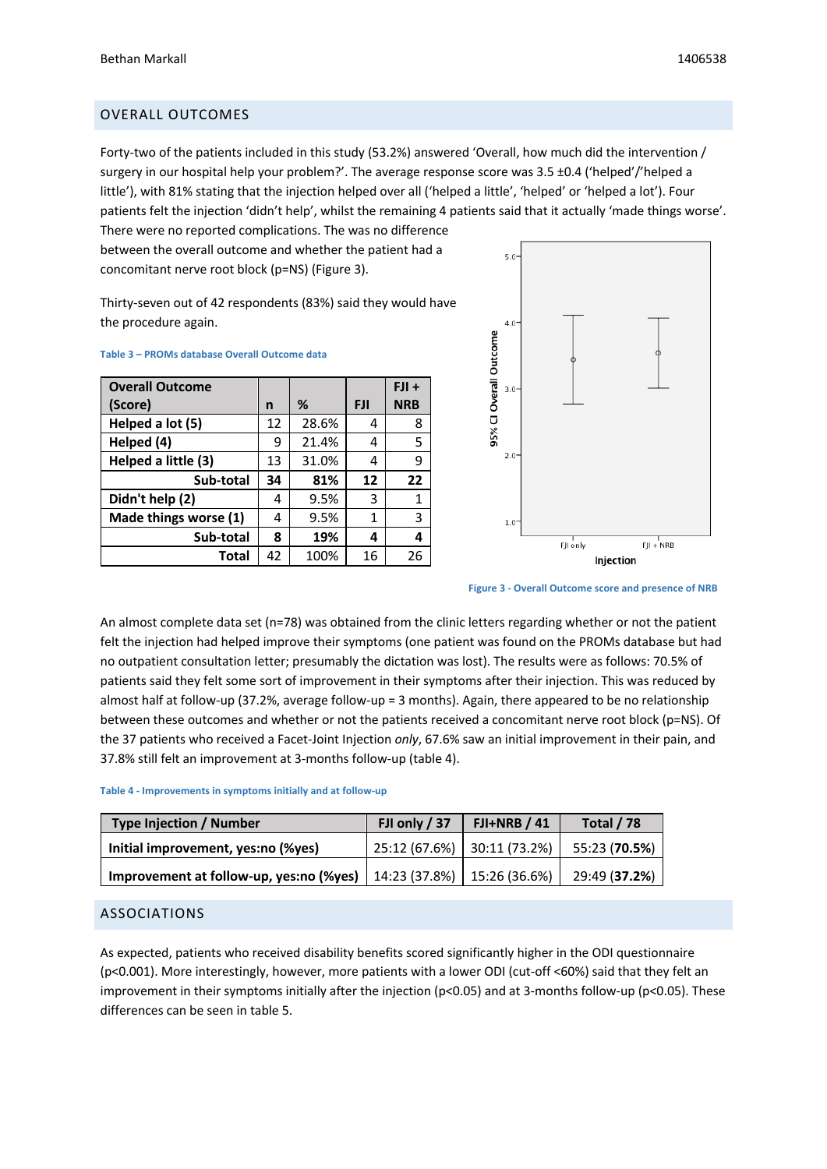# OVERALL OUTCOMES

Forty-two of the patients included in this study (53.2%) answered 'Overall, how much did the intervention / surgery in our hospital help your problem?'. The average response score was 3.5 ±0.4 ('helped'/'helped a little'), with 81% stating that the injection helped over all ('helped a little', 'helped' or 'helped a lot'). Four patients felt the injection 'didn't help', whilst the remaining 4 patients said that it actually 'made things worse'.

There were no reported complications. The was no difference between the overall outcome and whether the patient had a concomitant nerve root block (p=NS) (Figure 3).

Thirty-seven out of 42 respondents (83%) said they would have the procedure again.

| <b>Overall Outcome</b> |    |       |            | $FJI +$    |
|------------------------|----|-------|------------|------------|
| (Score)                | n  | %     | <b>FJI</b> | <b>NRB</b> |
| Helped a lot (5)       | 12 | 28.6% | 4          | 8          |
| Helped (4)             | 9  | 21.4% | 4          | 5          |
| Helped a little (3)    | 13 | 31.0% | 4          | 9          |
| Sub-total              | 34 | 81%   | 12         | 22         |
| Didn't help (2)        | 4  | 9.5%  | 3          | 1          |
| Made things worse (1)  | 4  | 9.5%  | 1          | 3          |
| Sub-total              | 8  | 19%   | 4          | 4          |
| <b>Total</b>           | 42 | 100%  | 16         | 26         |



**Table 3 – PROMs database Overall Outcome data**

**Figure 3 - Overall Outcome score and presence of NRB**

An almost complete data set (n=78) was obtained from the clinic letters regarding whether or not the patient felt the injection had helped improve their symptoms (one patient was found on the PROMs database but had no outpatient consultation letter; presumably the dictation was lost). The results were as follows: 70.5% of patients said they felt some sort of improvement in their symptoms after their injection. This was reduced by almost half at follow-up (37.2%, average follow-up = 3 months). Again, there appeared to be no relationship between these outcomes and whether or not the patients received a concomitant nerve root block (p=NS). Of the 37 patients who received a Facet-Joint Injection *only*, 67.6% saw an initial improvement in their pain, and 37.8% still felt an improvement at 3-months follow-up (table 4).

#### **Table 4 - Improvements in symptoms initially and at follow-up**

| <b>Type Injection / Number</b>          | FJI only $/37$               | $FI+NRB/41$ | <b>Total / 78</b> |
|-----------------------------------------|------------------------------|-------------|-------------------|
| Initial improvement, yes:no (%yes)      | 25:12 (67.6%) 30:11 (73.2%)  |             | 55:23 (70.5%)     |
| Improvement at follow-up, yes:no (%yes) | $14:23(37.8%)$ 15:26 (36.6%) |             | 29:49 (37.2%)     |

#### ASSOCIATIONS

As expected, patients who received disability benefits scored significantly higher in the ODI questionnaire (p<0.001). More interestingly, however, more patients with a lower ODI (cut-off <60%) said that they felt an improvement in their symptoms initially after the injection (p<0.05) and at 3-months follow-up (p<0.05). These differences can be seen in table 5.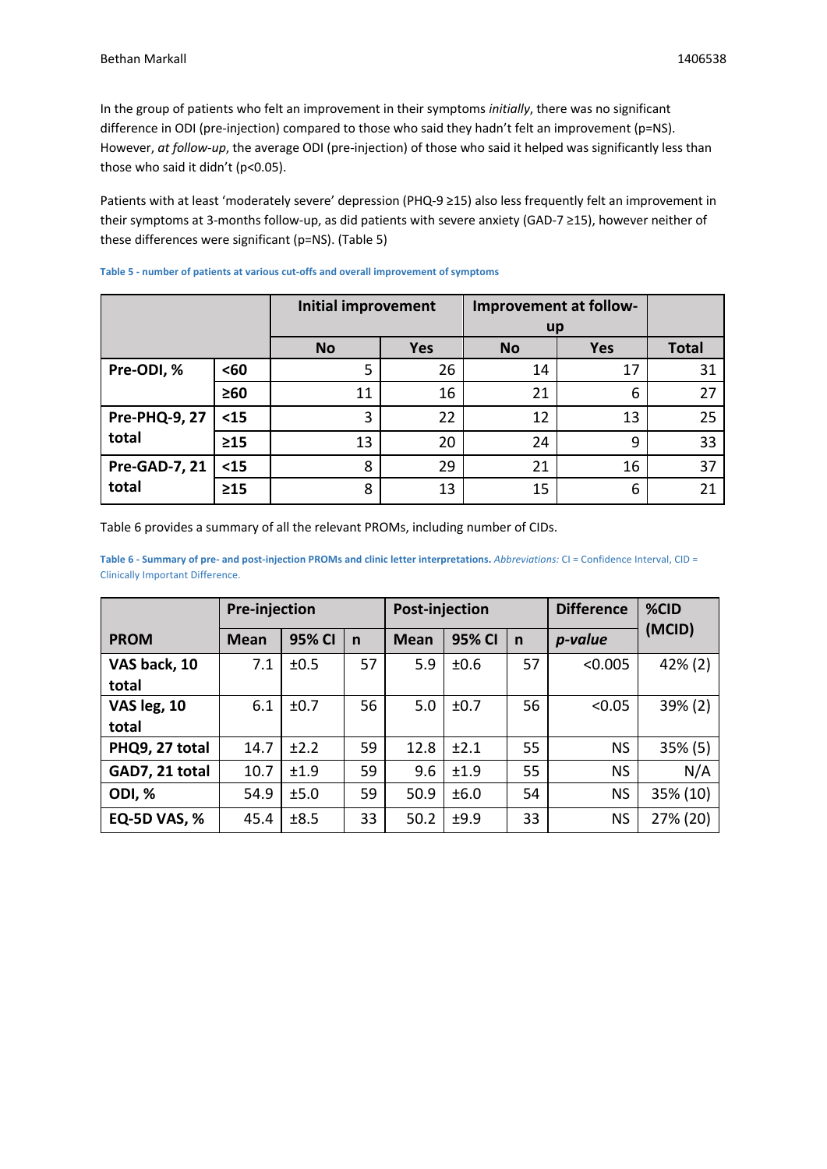In the group of patients who felt an improvement in their symptoms *initially*, there was no significant difference in ODI (pre-injection) compared to those who said they hadn't felt an improvement (p=NS). However, *at follow-up*, the average ODI (pre-injection) of those who said it helped was significantly less than those who said it didn't (p<0.05).

Patients with at least 'moderately severe' depression (PHQ-9 ≥15) also less frequently felt an improvement in their symptoms at 3-months follow-up, as did patients with severe anxiety (GAD-7 ≥15), however neither of these differences were significant (p=NS). (Table 5)

|                               |           | <b>Initial improvement</b> |            | Improvement at follow- |            |              |
|-------------------------------|-----------|----------------------------|------------|------------------------|------------|--------------|
|                               |           |                            |            | up                     |            |              |
|                               |           | <b>No</b>                  | <b>Yes</b> | <b>No</b>              | <b>Yes</b> | <b>Total</b> |
| Pre-ODI, %                    | <60       | 5                          | 26         | 14                     | 17         | 31           |
|                               | $\geq 60$ | 11                         | 16         | 21                     | 6          | 27           |
| <b>Pre-PHQ-9, 27</b><br>total | $15$      | 3                          | 22         | 12                     | 13         | 25           |
|                               | $\geq 15$ | 13                         | 20         | 24                     | 9          | 33           |
| <b>Pre-GAD-7, 21</b><br>total | $15$      | 8                          | 29         | 21                     | 16         | 37           |
|                               | $\geq 15$ | 8                          | 13         | 15                     | 6          | 21           |

**Table 5 - number of patients at various cut-offs and overall improvement of symptoms**

Table 6 provides a summary of all the relevant PROMs, including number of CIDs.

**Table 6 - Summary of pre- and post-injection PROMs and clinic letter interpretations.** *Abbreviations:* CI = Confidence Interval, CID = Clinically Important Difference.

|                       | <b>Pre-injection</b> |        | <b>Post-injection</b> |             |        | <b>Difference</b> | %CID      |            |
|-----------------------|----------------------|--------|-----------------------|-------------|--------|-------------------|-----------|------------|
| <b>PROM</b>           | <b>Mean</b>          | 95% CI | $\mathsf{n}$          | <b>Mean</b> | 95% CI | $\mathsf{n}$      | p-value   | (MCID)     |
| VAS back, 10<br>total | 7.1                  | ±0.5   | 57                    | 5.9         | ±0.6   | 57                | < 0.005   | $42\%$ (2) |
| VAS leg, 10<br>total  | 6.1                  | ±0.7   | 56                    | 5.0         | ±0.7   | 56                | < 0.05    | 39% (2)    |
| PHQ9, 27 total        | 14.7                 | ±2.2   | 59                    | 12.8        | ±2.1   | 55                | <b>NS</b> | $35\%$ (5) |
| GAD7, 21 total        | 10.7                 | ±1.9   | 59                    | 9.6         | ±1.9   | 55                | <b>NS</b> | N/A        |
| <b>ODI, %</b>         | 54.9                 | ±5.0   | 59                    | 50.9        | ±6.0   | 54                | <b>NS</b> | 35% (10)   |
| <b>EQ-5D VAS, %</b>   | 45.4                 | ±8.5   | 33                    | 50.2        | ±9.9   | 33                | <b>NS</b> | 27% (20)   |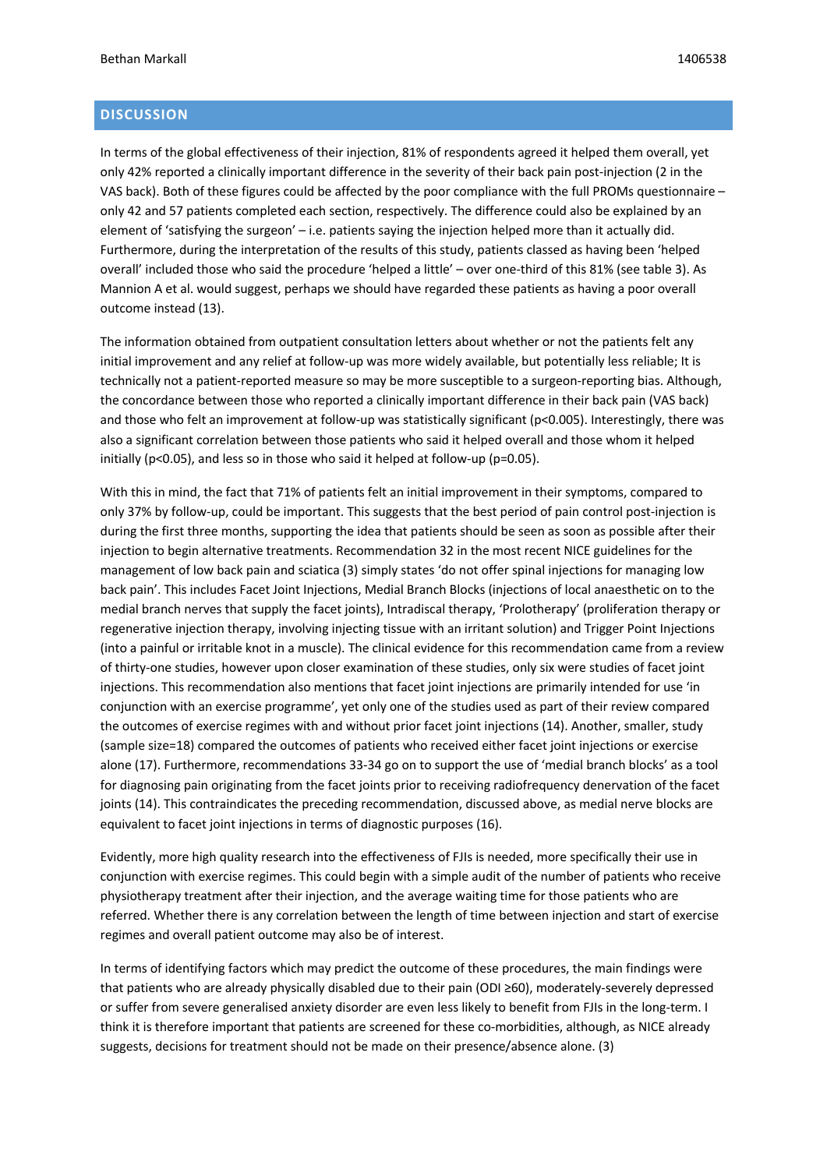# **DISCUSSION**

In terms of the global effectiveness of their injection, 81% of respondents agreed it helped them overall, yet only 42% reported a clinically important difference in the severity of their back pain post-injection (2 in the VAS back). Both of these figures could be affected by the poor compliance with the full PROMs questionnaire – only 42 and 57 patients completed each section, respectively. The difference could also be explained by an element of 'satisfying the surgeon' – i.e. patients saying the injection helped more than it actually did. Furthermore, during the interpretation of the results of this study, patients classed as having been 'helped overall' included those who said the procedure 'helped a little' – over one-third of this 81% (see table 3). As Mannion A et al. would suggest, perhaps we should have regarded these patients as having a poor overall outcome instead (13).

The information obtained from outpatient consultation letters about whether or not the patients felt any initial improvement and any relief at follow-up was more widely available, but potentially less reliable; It is technically not a patient-reported measure so may be more susceptible to a surgeon-reporting bias. Although, the concordance between those who reported a clinically important difference in their back pain (VAS back) and those who felt an improvement at follow-up was statistically significant (p<0.005). Interestingly, there was also a significant correlation between those patients who said it helped overall and those whom it helped initially (p<0.05), and less so in those who said it helped at follow-up (p=0.05).

With this in mind, the fact that 71% of patients felt an initial improvement in their symptoms, compared to only 37% by follow-up, could be important. This suggests that the best period of pain control post-injection is during the first three months, supporting the idea that patients should be seen as soon as possible after their injection to begin alternative treatments. Recommendation 32 in the most recent NICE guidelines for the management of low back pain and sciatica (3) simply states 'do not offer spinal injections for managing low back pain'. This includes Facet Joint Injections, Medial Branch Blocks (injections of local anaesthetic on to the medial branch nerves that supply the facet joints), Intradiscal therapy, 'Prolotherapy' (proliferation therapy or regenerative injection therapy, involving injecting tissue with an irritant solution) and Trigger Point Injections (into a painful or irritable knot in a muscle). The clinical evidence for this recommendation came from a review of thirty-one studies, however upon closer examination of these studies, only six were studies of facet joint injections. This recommendation also mentions that facet joint injections are primarily intended for use 'in conjunction with an exercise programme', yet only one of the studies used as part of their review compared the outcomes of exercise regimes with and without prior facet joint injections (14). Another, smaller, study (sample size=18) compared the outcomes of patients who received either facet joint injections or exercise alone (17). Furthermore, recommendations 33-34 go on to support the use of 'medial branch blocks' as a tool for diagnosing pain originating from the facet joints prior to receiving radiofrequency denervation of the facet joints (14). This contraindicates the preceding recommendation, discussed above, as medial nerve blocks are equivalent to facet joint injections in terms of diagnostic purposes (16).

Evidently, more high quality research into the effectiveness of FJIs is needed, more specifically their use in conjunction with exercise regimes. This could begin with a simple audit of the number of patients who receive physiotherapy treatment after their injection, and the average waiting time for those patients who are referred. Whether there is any correlation between the length of time between injection and start of exercise regimes and overall patient outcome may also be of interest.

In terms of identifying factors which may predict the outcome of these procedures, the main findings were that patients who are already physically disabled due to their pain (ODI ≥60), moderately-severely depressed or suffer from severe generalised anxiety disorder are even less likely to benefit from FJIs in the long-term. I think it is therefore important that patients are screened for these co-morbidities, although, as NICE already suggests, decisions for treatment should not be made on their presence/absence alone. (3)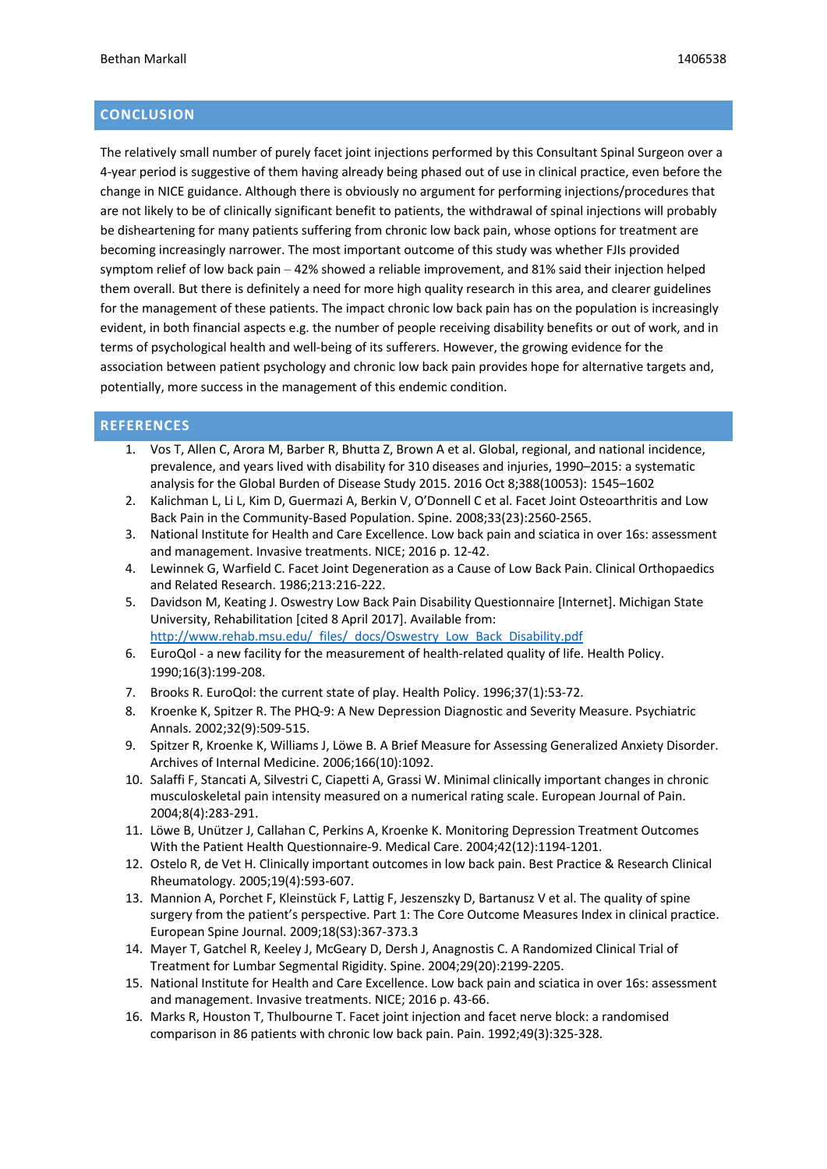# **CONCLUSION**

The relatively small number of purely facet joint injections performed by this Consultant Spinal Surgeon over a 4-year period is suggestive of them having already being phased out of use in clinical practice, even before the change in NICE guidance. Although there is obviously no argument for performing injections/procedures that are not likely to be of clinically significant benefit to patients, the withdrawal of spinal injections will probably be disheartening for many patients suffering from chronic low back pain, whose options for treatment are becoming increasingly narrower. The most important outcome of this study was whether FJIs provided symptom relief of low back pain – 42% showed a reliable improvement, and 81% said their injection helped them overall. But there is definitely a need for more high quality research in this area, and clearer guidelines for the management of these patients. The impact chronic low back pain has on the population is increasingly evident, in both financial aspects e.g. the number of people receiving disability benefits or out of work, and in terms of psychological health and well-being of its sufferers. However, the growing evidence for the association between patient psychology and chronic low back pain provides hope for alternative targets and, potentially, more success in the management of this endemic condition.

# **REFERENCES**

- 1. Vos T, Allen C, Arora M, Barber R, Bhutta Z, Brown A et al. Global, regional, and national incidence, prevalence, and years lived with disability for 310 diseases and injuries, 1990–2015: a systematic analysis for the Global Burden of Disease Study 2015. 2016 Oct 8;388(10053): 1545–1602
- 2. Kalichman L, Li L, Kim D, Guermazi A, Berkin V, O'Donnell C et al. Facet Joint Osteoarthritis and Low Back Pain in the Community-Based Population. Spine. 2008;33(23):2560-2565.
- 3. National Institute for Health and Care Excellence. Low back pain and sciatica in over 16s: assessment and management. Invasive treatments. NICE; 2016 p. 12-42.
- 4. Lewinnek G, Warfield C. Facet Joint Degeneration as a Cause of Low Back Pain. Clinical Orthopaedics and Related Research. 1986;213:216-222.
- 5. Davidson M, Keating J. Oswestry Low Back Pain Disability Questionnaire [Internet]. Michigan State University, Rehabilitation [cited 8 April 2017]. Available from: http://www.rehab.msu.edu/\_files/\_docs/Oswestry\_Low\_Back\_Disability.pdf
- 6. EuroQol a new facility for the measurement of health-related quality of life. Health Policy. 1990;16(3):199-208.
- 7. Brooks R. EuroQol: the current state of play. Health Policy. 1996;37(1):53-72.
- 8. Kroenke K, Spitzer R. The PHQ-9: A New Depression Diagnostic and Severity Measure. Psychiatric Annals. 2002;32(9):509-515.
- 9. Spitzer R, Kroenke K, Williams J, Löwe B. A Brief Measure for Assessing Generalized Anxiety Disorder. Archives of Internal Medicine. 2006;166(10):1092.
- 10. Salaffi F, Stancati A, Silvestri C, Ciapetti A, Grassi W. Minimal clinically important changes in chronic musculoskeletal pain intensity measured on a numerical rating scale. European Journal of Pain. 2004;8(4):283-291.
- 11. Löwe B, Unützer J, Callahan C, Perkins A, Kroenke K. Monitoring Depression Treatment Outcomes With the Patient Health Questionnaire-9. Medical Care. 2004;42(12):1194-1201.
- 12. Ostelo R, de Vet H. Clinically important outcomes in low back pain. Best Practice & Research Clinical Rheumatology. 2005;19(4):593-607.
- 13. Mannion A, Porchet F, Kleinstück F, Lattig F, Jeszenszky D, Bartanusz V et al. The quality of spine surgery from the patient's perspective. Part 1: The Core Outcome Measures Index in clinical practice. European Spine Journal. 2009;18(S3):367-373.3
- 14. Mayer T, Gatchel R, Keeley J, McGeary D, Dersh J, Anagnostis C. A Randomized Clinical Trial of Treatment for Lumbar Segmental Rigidity. Spine. 2004;29(20):2199-2205.
- 15. National Institute for Health and Care Excellence. Low back pain and sciatica in over 16s: assessment and management. Invasive treatments. NICE; 2016 p. 43-66.
- 16. Marks R, Houston T, Thulbourne T. Facet joint injection and facet nerve block: a randomised comparison in 86 patients with chronic low back pain. Pain. 1992;49(3):325-328.